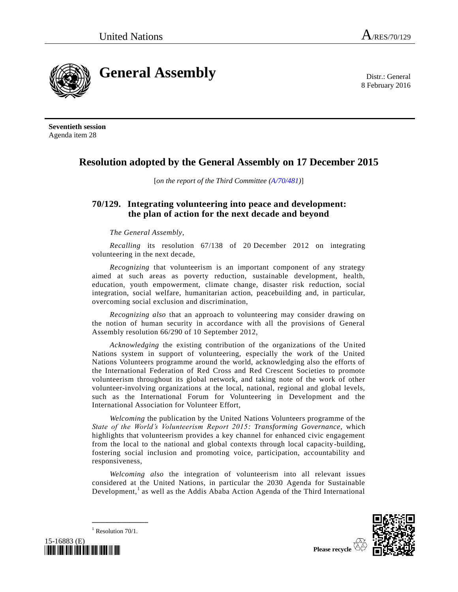8 February 2016



**Seventieth session** Agenda item 28

## **Resolution adopted by the General Assembly on 17 December 2015**

[*on the report of the Third Committee [\(A/70/481\)](http://undocs.org/A/70/481)*]

## **70/129. Integrating volunteering into peace and development: the plan of action for the next decade and beyond**

*The General Assembly*,

*Recalling* its resolution 67/138 of 20 December 2012 on integrating volunteering in the next decade,

*Recognizing* that volunteerism is an important component of any strategy aimed at such areas as poverty reduction, sustainable development, health, education, youth empowerment, climate change, disaster risk reduction, social integration, social welfare, humanitarian action, peacebuilding and, in particular, overcoming social exclusion and discrimination,

*Recognizing also* that an approach to volunteering may consider drawing on the notion of human security in accordance with all the provisions of General Assembly resolution 66/290 of 10 September 2012,

*Acknowledging* the existing contribution of the organizations of the United Nations system in support of volunteering, especially the work of the United Nations Volunteers programme around the world, acknowledging also the efforts of the International Federation of Red Cross and Red Crescent Societies to promote volunteerism throughout its global network, and taking note of the work of other volunteer-involving organizations at the local, national, regional and global levels, such as the International Forum for Volunteering in Development and the International Association for Volunteer Effort,

*Welcoming* the publication by the United Nations Volunteers programme of the *State of the World's Volunteerism Report 2015: Transforming Governance*, which highlights that volunteerism provides a key channel for enhanced civic engagement from the local to the national and global contexts through local capacity-building, fostering social inclusion and promoting voice, participation, accountability and responsiveness,

<span id="page-0-0"></span>*Welcoming also* the integration of volunteerism into all relevant issues considered at the United Nations, in particular the 2030 Agenda for Sustainable Development,<sup>1</sup> as well as the Addis Ababa Action Agenda of the Third International



**\_\_\_\_\_\_\_\_\_\_\_\_\_\_\_**  $1$  Resolution 70/1.

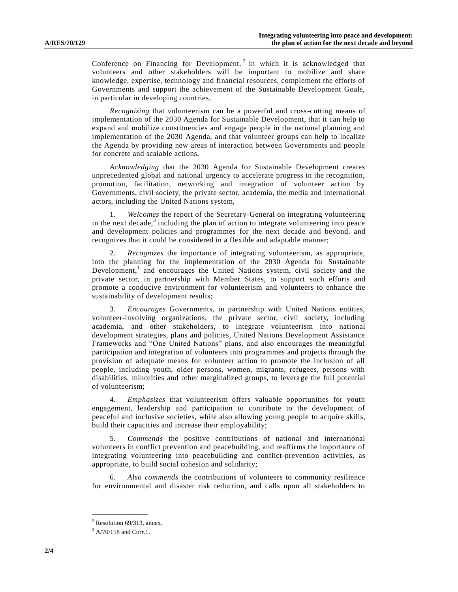Conference on Financing for Development,  $2$  in which it is acknowledged that volunteers and other stakeholders will be important to mobilize and share knowledge, expertise, technology and financial resources, complement the efforts of Governments and support the achievement of the Sustainable Development Goals, in particular in developing countries,

*Recognizing* that volunteerism can be a powerful and cross-cutting means of implementation of the 2030 Agenda for Sustainable Development, that it can help to expand and mobilize constituencies and engage people in the national planning and implementation of the 2030 Agenda, and that volunteer groups can help to localize the Agenda by providing new areas of interaction between Governments and people for concrete and scalable actions,

*Acknowledging* that the 2030 Agenda for Sustainable Development creates unprecedented global and national urgency to accelerate progress in the recognition, promotion, facilitation, networking and integration of volunteer action by Governments, civil society, the private sector, academia, the media and international actors, including the United Nations system,

1. *Welcomes* the report of the Secretary-General on integrating volunteering in the next decade, $3$  including the plan of action to integrate volunteering into peace and development policies and programmes for the next decade and beyond, and recognizes that it could be considered in a flexible and adaptable manner;

2. *Recognizes* the importance of integrating volunteerism, as appropriate, into the planning for the implementation of the 2030 Agenda for Sustainable Development[,](#page-0-0)<sup>1</sup> and encourages the United Nations system, civil society and the private sector, in partnership with Member States, to support such efforts and promote a conducive environment for volunteerism and volunteers to enhance the sustainability of development results;

3. *Encourages* Governments, in partnership with United Nations entities, volunteer-involving organizations, the private sector, civil society, including academia, and other stakeholders, to integrate volunteerism into national development strategies, plans and policies, United Nations Development Assistance Frameworks and "One United Nations" plans, and also encourages the meaningful participation and integration of volunteers into programmes and projects through the provision of adequate means for volunteer action to promote the inclusion of all people, including youth, older persons, women, migrants, refugees, persons with disabilities, minorities and other marginalized groups, to leverage the full potential of volunteerism;

4. *Emphasizes* that volunteerism offers valuable opportunities for youth engagement, leadership and participation to contribute to the development of peaceful and inclusive societies, while also allowing young people to acquire skills, build their capacities and increase their employability;

5. *Commends* the positive contributions of national and international volunteers in conflict prevention and peacebuilding, and reaffirms the importance of integrating volunteering into peacebuilding and conflict-prevention activities, as appropriate, to build social cohesion and solidarity;

6. *Also commends* the contributions of volunteers to community resilience for environmental and disaster risk reduction, and calls upon all stakeholders to

**\_\_\_\_\_\_\_\_\_\_\_\_\_\_\_**

 $2$  Resolution 69/313, annex.

 $3$  [A/70/118](http://undocs.org/A/70/118) and Corr.1.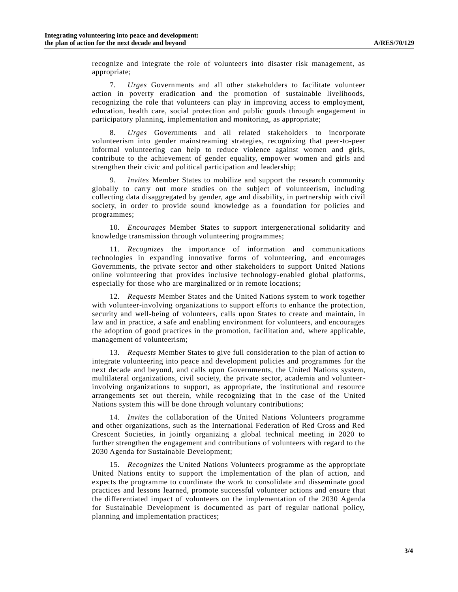recognize and integrate the role of volunteers into disaster risk management, as appropriate;

7. *Urges* Governments and all other stakeholders to facilitate volunteer action in poverty eradication and the promotion of sustainable livelihoods, recognizing the role that volunteers can play in improving access to employment, education, health care, social protection and public goods through engagement in participatory planning, implementation and monitoring, as appropriate;

8. *Urges* Governments and all related stakeholders to incorporate volunteerism into gender mainstreaming strategies, recognizing that peer-to-peer informal volunteering can help to reduce violence against women and girls, contribute to the achievement of gender equality, empower women and girls and strengthen their civic and political participation and leadership;

9. *Invites* Member States to mobilize and support the research community globally to carry out more studies on the subject of volunteerism, including collecting data disaggregated by gender, age and disability, in partnership with civil society, in order to provide sound knowledge as a foundation for policies and programmes;

10. *Encourages* Member States to support intergenerational solidarity and knowledge transmission through volunteering programmes;

11. *Recognizes* the importance of information and communications technologies in expanding innovative forms of volunteering, and encourages Governments, the private sector and other stakeholders to support United Nations online volunteering that provides inclusive technology-enabled global platforms, especially for those who are marginalized or in remote locations;

12. *Requests* Member States and the United Nations system to work together with volunteer-involving organizations to support efforts to enhance the protection, security and well-being of volunteers, calls upon States to create and maintain, in law and in practice, a safe and enabling environment for volunteers, and encourages the adoption of good practices in the promotion, facilitation and, where applicable, management of volunteerism;

13. *Requests* Member States to give full consideration to the plan of action to integrate volunteering into peace and development policies and programmes for the next decade and beyond, and calls upon Governments, the United Nations system, multilateral organizations, civil society, the private sector, academia and volunteerinvolving organizations to support, as appropriate, the institutional and resource arrangements set out therein, while recognizing that in the case of the United Nations system this will be done through voluntary contributions;

14. *Invites* the collaboration of the United Nations Volunteers programme and other organizations, such as the International Federation of Red Cross and Red Crescent Societies, in jointly organizing a global technical meeting in 2020 to further strengthen the engagement and contributions of volunteers with regard to the 2030 Agenda for Sustainable Development;

15. *Recognizes* the United Nations Volunteers programme as the appropriate United Nations entity to support the implementation of the plan of action, and expects the programme to coordinate the work to consolidate and disseminate good practices and lessons learned, promote successful volunteer actions and ensure t hat the differentiated impact of volunteers on the implementation of the 2030 Agenda for Sustainable Development is documented as part of regular national policy, planning and implementation practices;